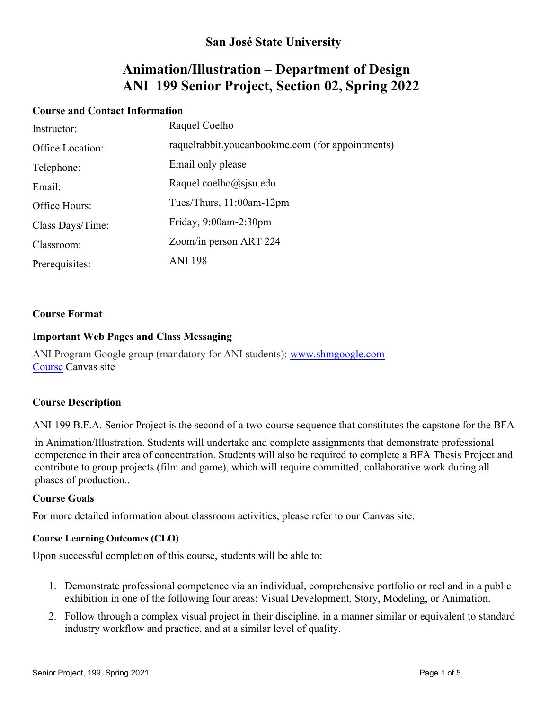## **San José State University**

# **Animation/Illustration – Department of Design ANI 199 Senior Project, Section 02, Spring 2022**

#### **Course and Contact Information**

| Instructor:      | Raquel Coelho                                    |
|------------------|--------------------------------------------------|
| Office Location: | raquelrabbit.youcanbookme.com (for appointments) |
| Telephone:       | Email only please                                |
| Email:           | Raquel.coelho@sjsu.edu                           |
| Office Hours:    | Tues/Thurs, $11:00$ am- $12$ pm                  |
| Class Days/Time: | Friday, $9:00$ am-2:30pm                         |
| Classroom:       | Zoom/in person ART 224                           |
| Prerequisites:   | <b>ANI 198</b>                                   |

#### **Course Format**

#### **Important Web Pages and Class Messaging**

[ANI Program Google group \(mandatory for ANI students\):](http://www.shmgoogle.com/) www.shmgoogle.com Course Canvas site

#### **Course Description**

ANI 199 B.F.A. Senior Project is the second of a two-course sequence that constitutes the capstone for the BFA

in Animation/Illustration. Students will undertake and complete assignments that demonstrate professional competence in their area of concentration. Students will also be required to complete a BFA Thesis Project and contribute to group projects (film and game), which will require committed, collaborative work during all phases of production..

#### **Course Goals**

For more detailed information about classroom activities, please refer to our Canvas site.

#### **Course Learning Outcomes (CLO)**

Upon successful completion of this course, students will be able to:

- 1. Demonstrate professional competence via an individual, comprehensive portfolio or reel and in a public exhibition in one of the following four areas: Visual Development, Story, Modeling, or Animation.
- 2. Follow through a complex visual project in their discipline, in a manner similar or equivalent to standard industry workflow and practice, and at a similar level of quality.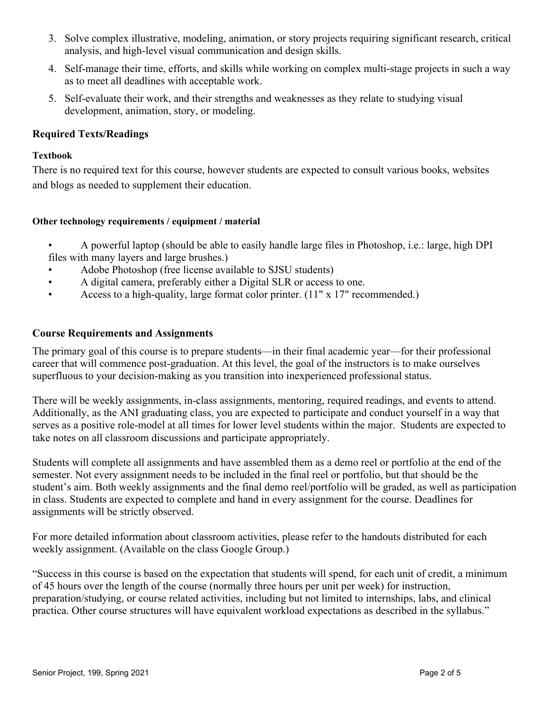- 3. Solve complex illustrative, modeling, animation, or story projects requiring significant research, critical analysis, and high-level visual communication and design skills.
- 4. Self-manage their time, efforts, and skills while working on complex multi-stage projects in such a way as to meet all deadlines with acceptable work.
- 5. Self-evaluate their work, and their strengths and weaknesses as they relate to studying visual development, animation, story, or modeling.

#### **Required Texts/Readings**

#### **Textbook**

There is no required text for this course, however students are expected to consult various books, websites and blogs as needed to supplement their education.

#### **Other technology requirements / equipment / material**

- A powerful laptop (should be able to easily handle large files in Photoshop, i.e.: large, high DPI files with many layers and large brushes.)
- Adobe Photoshop (free license available to SJSU students)
- A digital camera, preferably either a Digital SLR or access to one.
- Access to a high-quality, large format color printer. (11" x 17" recommended.)

#### **Course Requirements and Assignments**

The primary goal of this course is to prepare students—in their final academic year—for their professional career that will commence post-graduation. At this level, the goal of the instructors is to make ourselves superfluous to your decision-making as you transition into inexperienced professional status.

There will be weekly assignments, in-class assignments, mentoring, required readings, and events to attend. Additionally, as the ANI graduating class, you are expected to participate and conduct yourself in a way that serves as a positive role-model at all times for lower level students within the major. Students are expected to take notes on all classroom discussions and participate appropriately.

Students will complete all assignments and have assembled them as a demo reel or portfolio at the end of the semester. Not every assignment needs to be included in the final reel or portfolio, but that should be the student's aim. Both weekly assignments and the final demo reel/portfolio will be graded, as well as participation in class. Students are expected to complete and hand in every assignment for the course. Deadlines for assignments will be strictly observed.

For more detailed information about classroom activities, please refer to the handouts distributed for each weekly assignment. (Available on the class Google Group.)

"Success in this course is based on the expectation that students will spend, for each unit of credit, a minimum of 45 hours over the length of the course (normally three hours per unit per week) for instruction, preparation/studying, or course related activities, including but not limited to internships, labs, and clinical practica. Other course structures will have equivalent workload expectations as described in the syllabus."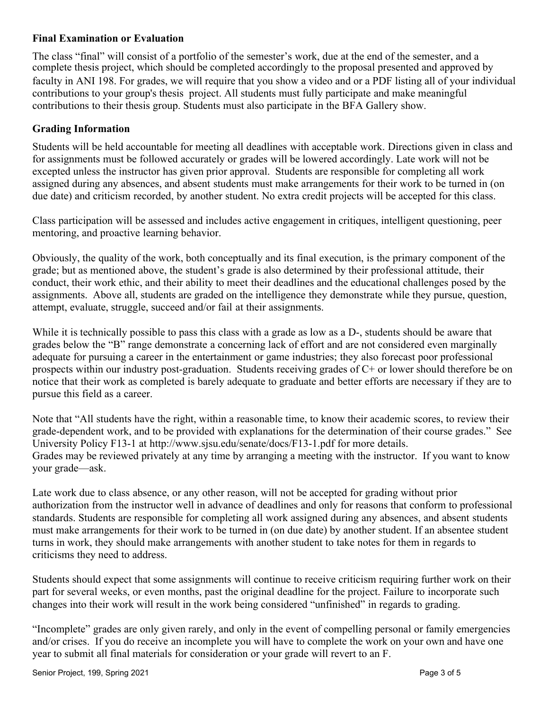## **Final Examination or Evaluation**

The class "final" will consist of a portfolio of the semester's work, due at the end of the semester, and a complete thesis project, which should be completed accordingly to the proposal presented and approved by faculty in ANI 198. For grades, we will require that you show a video and or a PDF listing all of your individual contributions to your group's thesis project. All students must fully participate and make meaningful contributions to their thesis group. Students must also participate in the BFA Gallery show.

### **Grading Information**

Students will be held accountable for meeting all deadlines with acceptable work. Directions given in class and for assignments must be followed accurately or grades will be lowered accordingly. Late work will not be excepted unless the instructor has given prior approval. Students are responsible for completing all work assigned during any absences, and absent students must make arrangements for their work to be turned in (on due date) and criticism recorded, by another student. No extra credit projects will be accepted for this class.

Class participation will be assessed and includes active engagement in critiques, intelligent questioning, peer mentoring, and proactive learning behavior.

Obviously, the quality of the work, both conceptually and its final execution, is the primary component of the grade; but as mentioned above, the student's grade is also determined by their professional attitude, their conduct, their work ethic, and their ability to meet their deadlines and the educational challenges posed by the assignments. Above all, students are graded on the intelligence they demonstrate while they pursue, question, attempt, evaluate, struggle, succeed and/or fail at their assignments.

While it is technically possible to pass this class with a grade as low as a D-, students should be aware that grades below the "B" range demonstrate a concerning lack of effort and are not considered even marginally adequate for pursuing a career in the entertainment or game industries; they also forecast poor professional prospects within our industry post-graduation. Students receiving grades of C+ or lower should therefore be on notice that their work as completed is barely adequate to graduate and better efforts are necessary if they are to pursue this field as a career.

Note that "All students have the right, within a reasonable time, to know their academic scores, to review their grade-dependent work, and to be provided with explanations for the determination of their course grades." See University Policy F13-1 at http://www.sjsu.edu/senate/docs/F13-1.pdf for more details. Grades may be reviewed privately at any time by arranging a meeting with the instructor. If you want to know your grade—ask.

Late work due to class absence, or any other reason, will not be accepted for grading without prior authorization from the instructor well in advance of deadlines and only for reasons that conform to professional standards. Students are responsible for completing all work assigned during any absences, and absent students must make arrangements for their work to be turned in (on due date) by another student. If an absentee student turns in work, they should make arrangements with another student to take notes for them in regards to criticisms they need to address.

Students should expect that some assignments will continue to receive criticism requiring further work on their part for several weeks, or even months, past the original deadline for the project. Failure to incorporate such changes into their work will result in the work being considered "unfinished" in regards to grading.

"Incomplete" grades are only given rarely, and only in the event of compelling personal or family emergencies and/or crises. If you do receive an incomplete you will have to complete the work on your own and have one year to submit all final materials for consideration or your grade will revert to an F.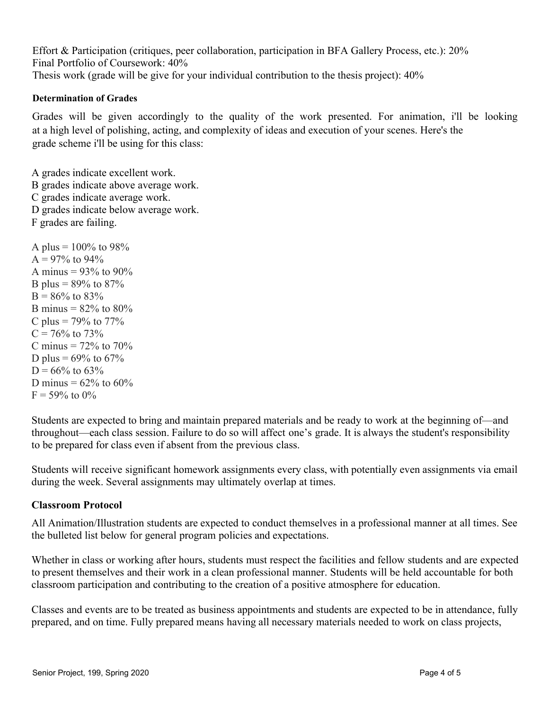Effort & Participation (critiques, peer collaboration, participation in BFA Gallery Process, etc.): 20% Final Portfolio of Coursework: 40% Thesis work (grade will be give for your individual contribution to the thesis project): 40%

#### **Determination of Grades**

Grades will be given accordingly to the quality of the work presented. For animation, i'll be looking at a high level of polishing, acting, and complexity of ideas and execution of your scenes. Here's the grade scheme i'll be using for this class:

A grades indicate excellent work. B grades indicate above average work. C grades indicate average work. D grades indicate below average work. F grades are failing.

A plus =  $100\%$  to 98%  $A = 97\%$  to 94% A minus =  $93\%$  to  $90\%$ B plus =  $89\%$  to  $87\%$  $B = 86\%$  to 83% B minus =  $82\%$  to  $80\%$ C plus =  $79\%$  to  $77\%$  $C = 76\%$  to 73% C minus  $= 72\%$  to  $70\%$ D plus =  $69\%$  to  $67\%$  $D = 66\%$  to 63% D minus =  $62\%$  to  $60\%$  $F = 59\%$  to 0%

Students are expected to bring and maintain prepared materials and be ready to work at the beginning of—and throughout—each class session. Failure to do so will affect one's grade. It is always the student's responsibility to be prepared for class even if absent from the previous class.

Students will receive significant homework assignments every class, with potentially even assignments via email during the week. Several assignments may ultimately overlap at times.

#### **Classroom Protocol**

All Animation/Illustration students are expected to conduct themselves in a professional manner at all times. See the bulleted list below for general program policies and expectations.

Whether in class or working after hours, students must respect the facilities and fellow students and are expected to present themselves and their work in a clean professional manner. Students will be held accountable for both classroom participation and contributing to the creation of a positive atmosphere for education.

Classes and events are to be treated as business appointments and students are expected to be in attendance, fully prepared, and on time. Fully prepared means having all necessary materials needed to work on class projects,